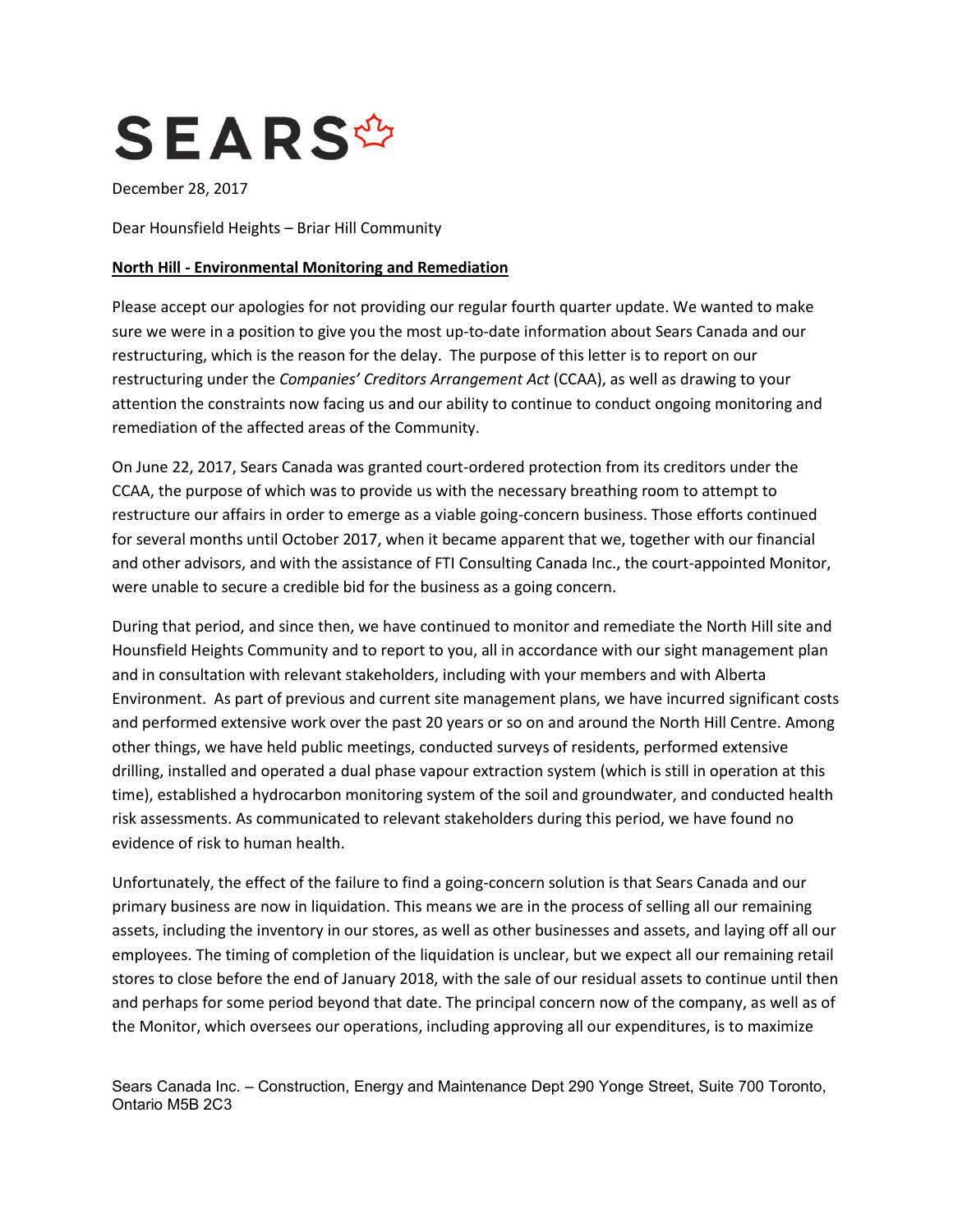

December 28, 2017

Dear Hounsfield Heights – Briar Hill Community

## **North Hill - Environmental Monitoring and Remediation**

Please accept our apologies for not providing our regular fourth quarter update. We wanted to make sure we were in a position to give you the most up-to-date information about Sears Canada and our restructuring, which is the reason for the delay. The purpose of this letter is to report on our restructuring under the *Companies' Creditors Arrangement Act* (CCAA), as well as drawing to your attention the constraints now facing us and our ability to continue to conduct ongoing monitoring and remediation of the affected areas of the Community.

On June 22, 2017, Sears Canada was granted court-ordered protection from its creditors under the CCAA, the purpose of which was to provide us with the necessary breathing room to attempt to restructure our affairs in order to emerge as a viable going-concern business. Those efforts continued for several months until October 2017, when it became apparent that we, together with our financial and other advisors, and with the assistance of FTI Consulting Canada Inc., the court-appointed Monitor, were unable to secure a credible bid for the business as a going concern.

During that period, and since then, we have continued to monitor and remediate the North Hill site and Hounsfield Heights Community and to report to you, all in accordance with our sight management plan and in consultation with relevant stakeholders, including with your members and with Alberta Environment. As part of previous and current site management plans, we have incurred significant costs and performed extensive work over the past 20 years or so on and around the North Hill Centre. Among other things, we have held public meetings, conducted surveys of residents, performed extensive drilling, installed and operated a dual phase vapour extraction system (which is still in operation at this time), established a hydrocarbon monitoring system of the soil and groundwater, and conducted health risk assessments. As communicated to relevant stakeholders during this period, we have found no evidence of risk to human health.

Unfortunately, the effect of the failure to find a going-concern solution is that Sears Canada and our primary business are now in liquidation. This means we are in the process of selling all our remaining assets, including the inventory in our stores, as well as other businesses and assets, and laying off all our employees. The timing of completion of the liquidation is unclear, but we expect all our remaining retail stores to close before the end of January 2018, with the sale of our residual assets to continue until then and perhaps for some period beyond that date. The principal concern now of the company, as well as of the Monitor, which oversees our operations, including approving all our expenditures, is to maximize

Sears Canada Inc. – Construction, Energy and Maintenance Dept 290 Yonge Street, Suite 700 Toronto, Ontario M5B 2C3